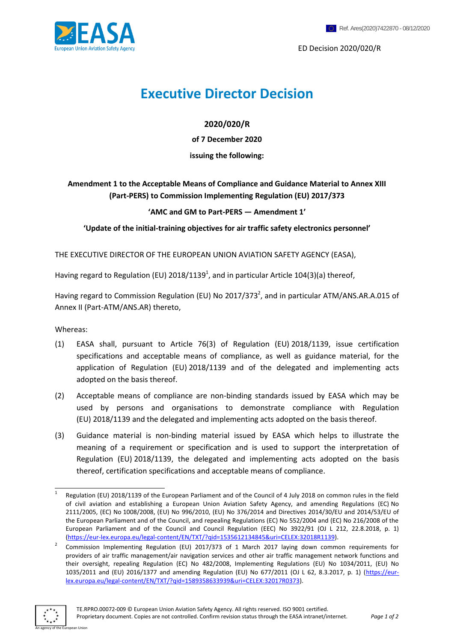ED Decision 2020/020/R

# **Executive Director Decision**

## **2020/020/R**

**of 7 December 2020**

## **issuing the following:**

# **Amendment 1 to the Acceptable Means of Compliance and Guidance Material to Annex XIII (Part-PERS) to Commission Implementing Regulation (EU) 2017/373**

## **'AMC and GM to Part-PERS — Amendment 1'**

**'Update of the initial-training objectives for air traffic safety electronics personnel'**

THE EXECUTIVE DIRECTOR OF THE EUROPEAN UNION AVIATION SAFETY AGENCY (EASA),

Having regard to Regulation (EU) 2018/1139<sup>1</sup>, and in particular Article 104(3)(a) thereof,

Having regard to Commission Regulation (EU) No 2017/373<sup>2</sup>, and in particular ATM/ANS.AR.A.015 of Annex II (Part-ATM/ANS.AR) thereto,

Whereas:

- (1) EASA shall, pursuant to Article 76(3) of Regulation (EU) 2018/1139, issue certification specifications and acceptable means of compliance, as well as guidance material, for the application of Regulation (EU) 2018/1139 and of the delegated and implementing acts adopted on the basis thereof.
- (2) Acceptable means of compliance are non-binding standards issued by EASA which may be used by persons and organisations to demonstrate compliance with Regulation (EU) 2018/1139 and the delegated and implementing acts adopted on the basis thereof.
- (3) Guidance material is non-binding material issued by EASA which helps to illustrate the meaning of a requirement or specification and is used to support the interpretation of Regulation (EU) 2018/1139, the delegated and implementing acts adopted on the basis thereof, certification specifications and acceptable means of compliance.

<sup>2</sup> Commission Implementing Regulation (EU) 2017/373 of 1 March 2017 laying down common requirements for providers of air traffic management/air navigation services and other air traffic management network functions and their oversight, repealing Regulation (EC) No 482/2008, Implementing Regulations (EU) No 1034/2011, (EU) No 1035/2011 and (EU) 2016/1377 and amending Regulation (EU) No 677/2011 (OJ L 62, 8.3.2017, p. 1) [\(https://eur](https://eur-lex.europa.eu/legal-content/EN/TXT/?qid=1589358633939&uri=CELEX:32017R0373)[lex.europa.eu/legal-content/EN/TXT/?qid=1589358633939&uri=CELEX:32017R0373\)](https://eur-lex.europa.eu/legal-content/EN/TXT/?qid=1589358633939&uri=CELEX:32017R0373).



<sup>1</sup> 1 Regulation (EU) 2018/1139 of the European Parliament and of the Council of 4 July 2018 on common rules in the field of civil aviation and establishing a European Union Aviation Safety Agency, and amending Regulations (EC) No 2111/2005, (EC) No 1008/2008, (EU) No 996/2010, (EU) No 376/2014 and Directives 2014/30/EU and 2014/53/EU of the European Parliament and of the Council, and repealing Regulations (EC) No 552/2004 and (EC) No 216/2008 of the European Parliament and of the Council and Council Regulation (EEC) No 3922/91 (OJ L 212, 22.8.2018, p. 1) [\(https://eur-lex.europa.eu/legal-content/EN/TXT/?qid=1535612134845&uri=CELEX:32018R1139\)](https://eur-lex.europa.eu/legal-content/EN/TXT/?qid=1535612134845&uri=CELEX:32018R1139).